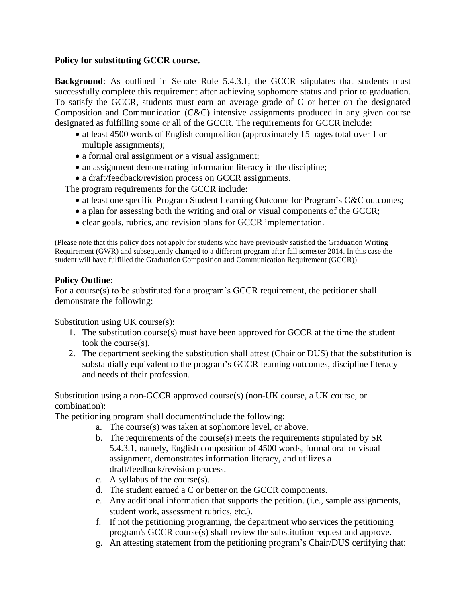## **Policy for substituting GCCR course.**

**Background**: As outlined in Senate Rule 5.4.3.1, the GCCR stipulates that students must successfully complete this requirement after achieving sophomore status and prior to graduation. To satisfy the GCCR, students must earn an average grade of C or better on the designated Composition and Communication (C&C) intensive assignments produced in any given course designated as fulfilling some or all of the GCCR. The requirements for GCCR include:

- at least 4500 words of English composition (approximately 15 pages total over 1 or multiple assignments);
- a formal oral assignment *or* a visual assignment;
- an assignment demonstrating information literacy in the discipline;
- a draft/feedback/revision process on GCCR assignments.

The program requirements for the GCCR include:

- at least one specific Program Student Learning Outcome for Program's C&C outcomes;
- a plan for assessing both the writing and oral *or* visual components of the GCCR;
- clear goals, rubrics, and revision plans for GCCR implementation.

(Please note that this policy does not apply for students who have previously satisfied the Graduation Writing Requirement (GWR) and subsequently changed to a different program after fall semester 2014. In this case the student will have fulfilled the Graduation Composition and Communication Requirement (GCCR))

## **Policy Outline**:

For a course(s) to be substituted for a program's GCCR requirement, the petitioner shall demonstrate the following:

Substitution using UK course(s):

- 1. The substitution course(s) must have been approved for GCCR at the time the student took the course(s).
- 2. The department seeking the substitution shall attest (Chair or DUS) that the substitution is substantially equivalent to the program's GCCR learning outcomes, discipline literacy and needs of their profession.

Substitution using a non-GCCR approved course(s) (non-UK course, a UK course, or combination):

The petitioning program shall document/include the following:

- a. The course(s) was taken at sophomore level, or above.
- b. The requirements of the course(s) meets the requirements stipulated by SR 5.4.3.1, namely, English composition of 4500 words, formal oral or visual assignment, demonstrates information literacy, and utilizes a draft/feedback/revision process.
- c. A syllabus of the course(s).
- d. The student earned a C or better on the GCCR components.
- e. Any additional information that supports the petition. (i.e., sample assignments, student work, assessment rubrics, etc.).
- f. If not the petitioning programing, the department who services the petitioning program's GCCR course(s) shall review the substitution request and approve.
- g. An attesting statement from the petitioning program's Chair/DUS certifying that: